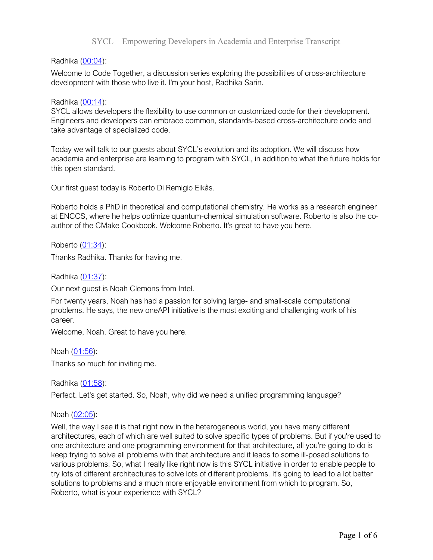Radhika (00:04):

Welcome to Code Together, a discussion series exploring the possibilities of cross-architecture development with those who live it. I'm your host, Radhika Sarin.

### Radhika (00:14):

SYCL allows developers the flexibility to use common or customized code for their development. Engineers and developers can embrace common, standards-based cross-architecture code and take advantage of specialized code.

Today we will talk to our guests about SYCL's evolution and its adoption. We will discuss how academia and enterprise are learning to program with SYCL, in addition to what the future holds for this open standard.

Our first guest today is Roberto Di Remigio Eikås.

Roberto holds a PhD in theoretical and computational chemistry. He works as a research engineer at ENCCS, where he helps optimize quantum-chemical simulation software. Roberto is also the coauthor of the CMake Cookbook. Welcome Roberto. It's great to have you here.

Roberto (01:34):

Thanks Radhika. Thanks for having me.

Radhika (01:37):

Our next guest is Noah Clemons from Intel.

For twenty years, Noah has had a passion for solving large- and small-scale computational problems. He says, the new oneAPI initiative is the most exciting and challenging work of his career.

Welcome, Noah. Great to have you here.

Noah (01:56):

Thanks so much for inviting me.

Radhika (01:58):

Perfect. Let's get started. So, Noah, why did we need a unified programming language?

Noah (02:05):

Well, the way I see it is that right now in the heterogeneous world, you have many different architectures, each of which are well suited to solve specific types of problems. But if you're used to one architecture and one programming environment for that architecture, all you're going to do is keep trying to solve all problems with that architecture and it leads to some ill-posed solutions to various problems. So, what I really like right now is this SYCL initiative in order to enable people to try lots of different architectures to solve lots of different problems. It's going to lead to a lot better solutions to problems and a much more enjoyable environment from which to program. So, Roberto, what is your experience with SYCL?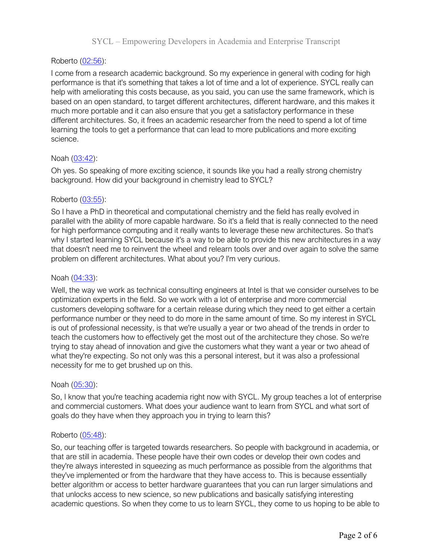# Roberto (02:56):

I come from a research academic background. So my experience in general with coding for high performance is that it's something that takes a lot of time and a lot of experience. SYCL really can help with ameliorating this costs because, as you said, you can use the same framework, which is based on an open standard, to target different architectures, different hardware, and this makes it much more portable and it can also ensure that you get a satisfactory performance in these different architectures. So, it frees an academic researcher from the need to spend a lot of time learning the tools to get a performance that can lead to more publications and more exciting science.

## Noah (03:42):

Oh yes. So speaking of more exciting science, it sounds like you had a really strong chemistry background. How did your background in chemistry lead to SYCL?

### Roberto (03:55):

So I have a PhD in theoretical and computational chemistry and the field has really evolved in parallel with the ability of more capable hardware. So it's a field that is really connected to the need for high performance computing and it really wants to leverage these new architectures. So that's why I started learning SYCL because it's a way to be able to provide this new architectures in a way that doesn't need me to reinvent the wheel and relearn tools over and over again to solve the same problem on different architectures. What about you? I'm very curious.

### Noah (04:33):

Well, the way we work as technical consulting engineers at Intel is that we consider ourselves to be optimization experts in the field. So we work with a lot of enterprise and more commercial customers developing software for a certain release during which they need to get either a certain performance number or they need to do more in the same amount of time. So my interest in SYCL is out of professional necessity, is that we're usually a year or two ahead of the trends in order to teach the customers how to effectively get the most out of the architecture they chose. So we're trying to stay ahead of innovation and give the customers what they want a year or two ahead of what they're expecting. So not only was this a personal interest, but it was also a professional necessity for me to get brushed up on this.

#### Noah (05:30):

So, I know that you're teaching academia right now with SYCL. My group teaches a lot of enterprise and commercial customers. What does your audience want to learn from SYCL and what sort of goals do they have when they approach you in trying to learn this?

#### Roberto (05:48):

So, our teaching offer is targeted towards researchers. So people with background in academia, or that are still in academia. These people have their own codes or develop their own codes and they're always interested in squeezing as much performance as possible from the algorithms that they've implemented or from the hardware that they have access to. This is because essentially better algorithm or access to better hardware guarantees that you can run larger simulations and that unlocks access to new science, so new publications and basically satisfying interesting academic questions. So when they come to us to learn SYCL, they come to us hoping to be able to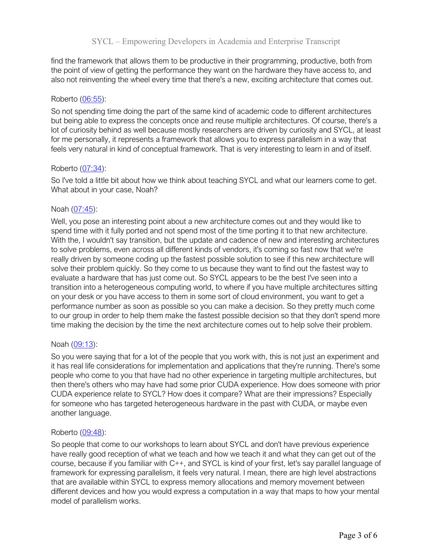find the framework that allows them to be productive in their programming, productive, both from the point of view of getting the performance they want on the hardware they have access to, and also not reinventing the wheel every time that there's a new, exciting architecture that comes out.

### Roberto (06:55):

So not spending time doing the part of the same kind of academic code to different architectures but being able to express the concepts once and reuse multiple architectures. Of course, there's a lot of curiosity behind as well because mostly researchers are driven by curiosity and SYCL, at least for me personally, it represents a framework that allows you to express parallelism in a way that feels very natural in kind of conceptual framework. That is very interesting to learn in and of itself.

### Roberto (07:34):

So I've told a little bit about how we think about teaching SYCL and what our learners come to get. What about in your case, Noah?

### Noah (07:45):

Well, you pose an interesting point about a new architecture comes out and they would like to spend time with it fully ported and not spend most of the time porting it to that new architecture. With the, I wouldn't say transition, but the update and cadence of new and interesting architectures to solve problems, even across all different kinds of vendors, it's coming so fast now that we're really driven by someone coding up the fastest possible solution to see if this new architecture will solve their problem quickly. So they come to us because they want to find out the fastest way to evaluate a hardware that has just come out. So SYCL appears to be the best I've seen into a transition into a heterogeneous computing world, to where if you have multiple architectures sitting on your desk or you have access to them in some sort of cloud environment, you want to get a performance number as soon as possible so you can make a decision. So they pretty much come to our group in order to help them make the fastest possible decision so that they don't spend more time making the decision by the time the next architecture comes out to help solve their problem.

#### Noah (09:13):

So you were saying that for a lot of the people that you work with, this is not just an experiment and it has real life considerations for implementation and applications that they're running. There's some people who come to you that have had no other experience in targeting multiple architectures, but then there's others who may have had some prior CUDA experience. How does someone with prior CUDA experience relate to SYCL? How does it compare? What are their impressions? Especially for someone who has targeted heterogeneous hardware in the past with CUDA, or maybe even another language.

#### Roberto (09:48):

So people that come to our workshops to learn about SYCL and don't have previous experience have really good reception of what we teach and how we teach it and what they can get out of the course, because if you familiar with C++, and SYCL is kind of your first, let's say parallel language of framework for expressing parallelism, it feels very natural. I mean, there are high level abstractions that are available within SYCL to express memory allocations and memory movement between different devices and how you would express a computation in a way that maps to how your mental model of parallelism works.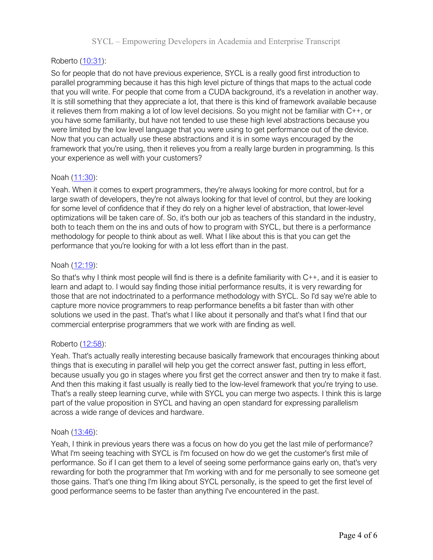# Roberto (10:31):

So for people that do not have previous experience, SYCL is a really good first introduction to parallel programming because it has this high level picture of things that maps to the actual code that you will write. For people that come from a CUDA background, it's a revelation in another way. It is still something that they appreciate a lot, that there is this kind of framework available because it relieves them from making a lot of low level decisions. So you might not be familiar with C++, or you have some familiarity, but have not tended to use these high level abstractions because you were limited by the low level language that you were using to get performance out of the device. Now that you can actually use these abstractions and it is in some ways encouraged by the framework that you're using, then it relieves you from a really large burden in programming. Is this your experience as well with your customers?

## Noah (11:30):

Yeah. When it comes to expert programmers, they're always looking for more control, but for a large swath of developers, they're not always looking for that level of control, but they are looking for some level of confidence that if they do rely on a higher level of abstraction, that lower-level optimizations will be taken care of. So, it's both our job as teachers of this standard in the industry, both to teach them on the ins and outs of how to program with SYCL, but there is a performance methodology for people to think about as well. What I like about this is that you can get the performance that you're looking for with a lot less effort than in the past.

### Noah (12:19):

So that's why I think most people will find is there is a definite familiarity with C++, and it is easier to learn and adapt to. I would say finding those initial performance results, it is very rewarding for those that are not indoctrinated to a performance methodology with SYCL. So I'd say we're able to capture more novice programmers to reap performance benefits a bit faster than with other solutions we used in the past. That's what I like about it personally and that's what I find that our commercial enterprise programmers that we work with are finding as well.

## Roberto (12:58):

Yeah. That's actually really interesting because basically framework that encourages thinking about things that is executing in parallel will help you get the correct answer fast, putting in less effort, because usually you go in stages where you first get the correct answer and then try to make it fast. And then this making it fast usually is really tied to the low-level framework that you're trying to use. That's a really steep learning curve, while with SYCL you can merge two aspects. I think this is large part of the value proposition in SYCL and having an open standard for expressing parallelism across a wide range of devices and hardware.

#### Noah (13:46):

Yeah, I think in previous years there was a focus on how do you get the last mile of performance? What I'm seeing teaching with SYCL is I'm focused on how do we get the customer's first mile of performance. So if I can get them to a level of seeing some performance gains early on, that's very rewarding for both the programmer that I'm working with and for me personally to see someone get those gains. That's one thing I'm liking about SYCL personally, is the speed to get the first level of good performance seems to be faster than anything I've encountered in the past.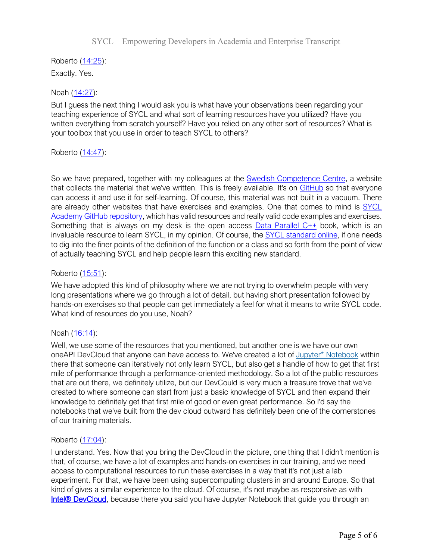Roberto (14:25): Exactly. Yes.

# Noah (14:27):

But I guess the next thing I would ask you is what have your observations been regarding your teaching experience of SYCL and what sort of learning resources have you utilized? Have you written everything from scratch yourself? Have you relied on any other sort of resources? What is your toolbox that you use in order to teach SYCL to others?

## Roberto (14:47):

So we have prepared, together with my colleagues at the **Swedish Competence Centre**, a website that collects the material that we've written. This is freely available. It's on GitHub so that everyone can access it and use it for self-learning. Of course, this material was not built in a vacuum. There are already other websites that have exercises and examples. One that comes to mind is SYCL Academy GitHub repository, which has valid resources and really valid code examples and exercises. Something that is always on my desk is the open access Data Parallel C++ book, which is an invaluable resource to learn SYCL, in my opinion. Of course, the SYCL standard online, if one needs to dig into the finer points of the definition of the function or a class and so forth from the point of view of actually teaching SYCL and help people learn this exciting new standard.

## Roberto (15:51):

We have adopted this kind of philosophy where we are not trying to overwhelm people with very long presentations where we go through a lot of detail, but having short presentation followed by hands-on exercises so that people can get immediately a feel for what it means to write SYCL code. What kind of resources do you use, Noah?

## Noah (16:14):

Well, we use some of the resources that you mentioned, but another one is we have our own oneAPI DevCloud that anyone can have access to. We've created a lot of Jupyter\* Notebook within there that someone can iteratively not only learn SYCL, but also get a handle of how to get that first mile of performance through a performance-oriented methodology. So a lot of the public resources that are out there, we definitely utilize, but our DevCould is very much a treasure trove that we've created to where someone can start from just a basic knowledge of SYCL and then expand their knowledge to definitely get that first mile of good or even great performance. So I'd say the notebooks that we've built from the dev cloud outward has definitely been one of the cornerstones of our training materials.

## Roberto (17:04):

I understand. Yes. Now that you bring the DevCloud in the picture, one thing that I didn't mention is that, of course, we have a lot of examples and hands-on exercises in our training, and we need access to computational resources to run these exercises in a way that it's not just a lab experiment. For that, we have been using supercomputing clusters in and around Europe. So that kind of gives a similar experience to the cloud. Of course, it's not maybe as responsive as with Intel® DevCloud, because there you said you have Jupyter Notebook that guide you through an